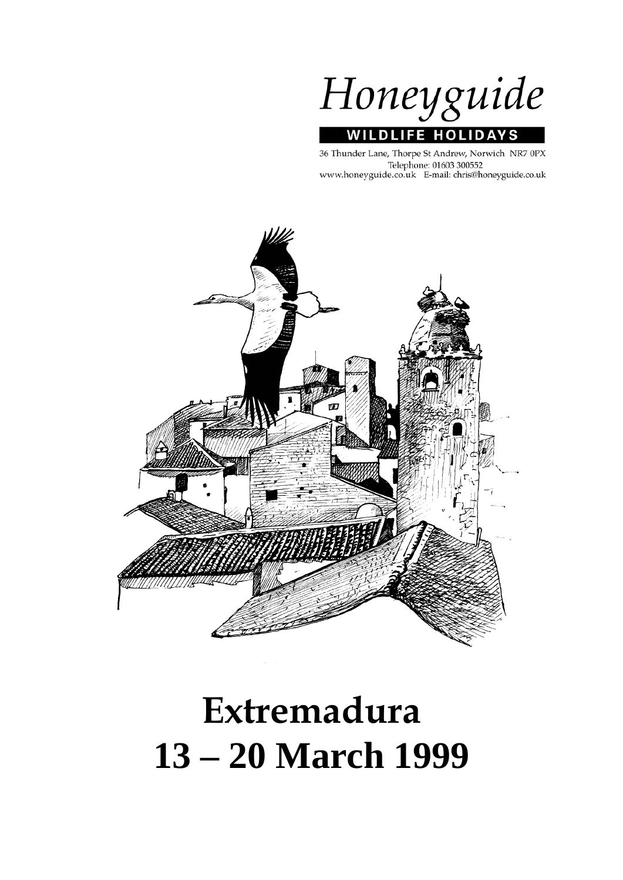Honeyguide **WILDLIFE HOLIDA** 'S

36 Thunder Lane, Thorpe St Andrew, Norwich NR7 0PX Telephone: 01603 300552 www.honeyguide.co.uk E-mail: chris@honeyguide.co.uk



# **Extremadura 13 – 20 March 1999**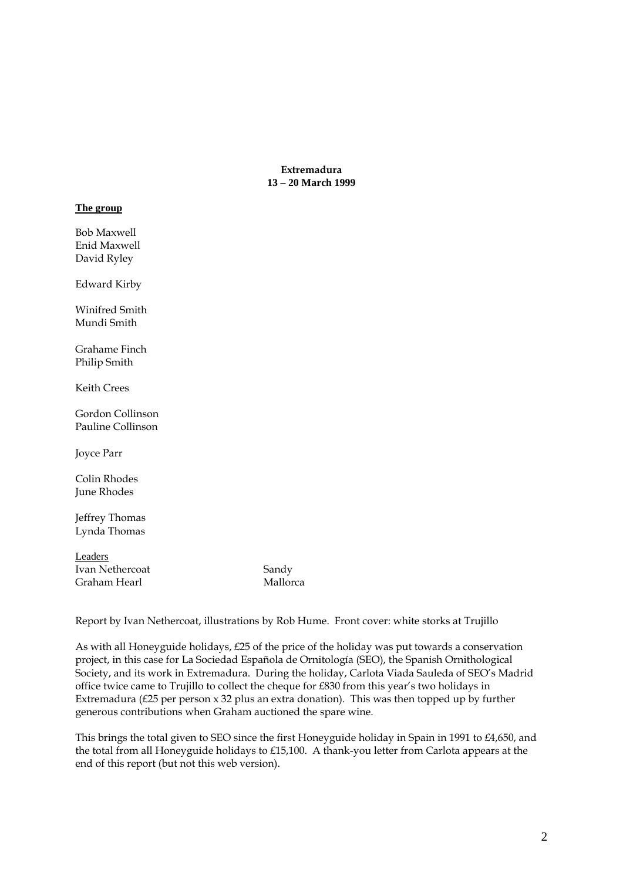**Extremadura 13 – 20 March 1999** 

#### **The group**

Bob Maxwell Enid Maxwell David Ryley

Edward Kirby

Winifred Smith Mundi Smith

Grahame Finch Philip Smith

Keith Crees

Gordon Collinson Pauline Collinson

Joyce Parr

Colin Rhodes June Rhodes

Jeffrey Thomas Lynda Thomas

Leaders Ivan Nethercoat Sandy Graham Hearl Mallorca

Report by Ivan Nethercoat, illustrations by Rob Hume. Front cover: white storks at Trujillo

As with all Honeyguide holidays, £25 of the price of the holiday was put towards a conservation project, in this case for La Sociedad Española de Ornitología (SEO), the Spanish Ornithological Society, and its work in Extremadura. During the holiday, Carlota Viada Sauleda of SEO's Madrid office twice came to Trujillo to collect the cheque for £830 from this year's two holidays in Extremadura (£25 per person x 32 plus an extra donation). This was then topped up by further generous contributions when Graham auctioned the spare wine.

This brings the total given to SEO since the first Honeyguide holiday in Spain in 1991 to £4,650, and the total from all Honeyguide holidays to £15,100. A thank-you letter from Carlota appears at the end of this report (but not this web version).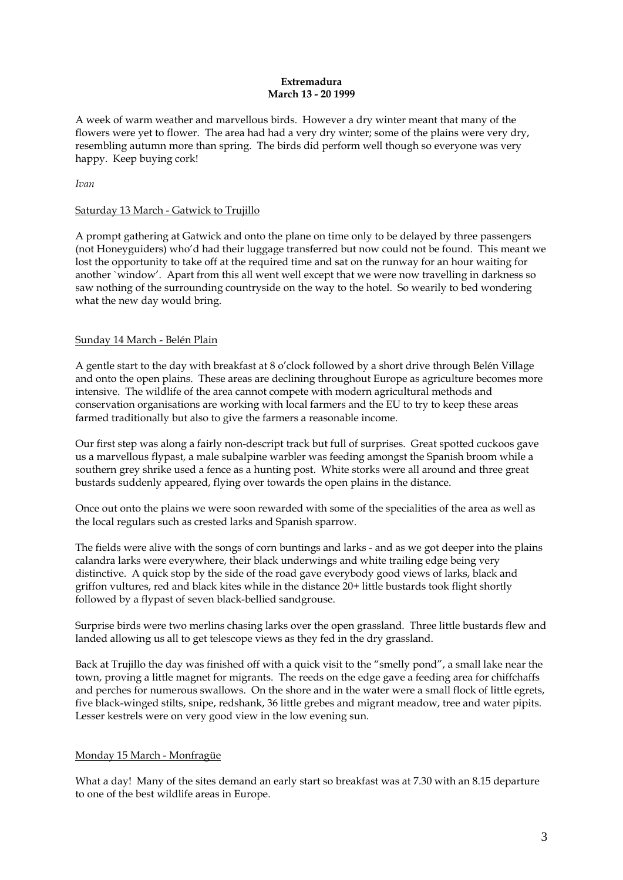#### **Extremadura March 13 - 20 1999**

A week of warm weather and marvellous birds. However a dry winter meant that many of the flowers were yet to flower. The area had had a very dry winter; some of the plains were very dry, resembling autumn more than spring. The birds did perform well though so everyone was very happy. Keep buying cork!

#### *Ivan*

# Saturday 13 March - Gatwick to Trujillo

A prompt gathering at Gatwick and onto the plane on time only to be delayed by three passengers (not Honeyguiders) who'd had their luggage transferred but now could not be found. This meant we lost the opportunity to take off at the required time and sat on the runway for an hour waiting for another `window'. Apart from this all went well except that we were now travelling in darkness so saw nothing of the surrounding countryside on the way to the hotel. So wearily to bed wondering what the new day would bring.

# Sunday 14 March - Belén Plain

A gentle start to the day with breakfast at 8 o'clock followed by a short drive through Belén Village and onto the open plains. These areas are declining throughout Europe as agriculture becomes more intensive. The wildlife of the area cannot compete with modern agricultural methods and conservation organisations are working with local farmers and the EU to try to keep these areas farmed traditionally but also to give the farmers a reasonable income.

Our first step was along a fairly non-descript track but full of surprises. Great spotted cuckoos gave us a marvellous flypast, a male subalpine warbler was feeding amongst the Spanish broom while a southern grey shrike used a fence as a hunting post. White storks were all around and three great bustards suddenly appeared, flying over towards the open plains in the distance.

Once out onto the plains we were soon rewarded with some of the specialities of the area as well as the local regulars such as crested larks and Spanish sparrow.

The fields were alive with the songs of corn buntings and larks - and as we got deeper into the plains calandra larks were everywhere, their black underwings and white trailing edge being very distinctive. A quick stop by the side of the road gave everybody good views of larks, black and griffon vultures, red and black kites while in the distance 20+ little bustards took flight shortly followed by a flypast of seven black-bellied sandgrouse.

Surprise birds were two merlins chasing larks over the open grassland. Three little bustards flew and landed allowing us all to get telescope views as they fed in the dry grassland.

Back at Trujillo the day was finished off with a quick visit to the "smelly pond", a small lake near the town, proving a little magnet for migrants. The reeds on the edge gave a feeding area for chiffchaffs and perches for numerous swallows. On the shore and in the water were a small flock of little egrets, five black-winged stilts, snipe, redshank, 36 little grebes and migrant meadow, tree and water pipits. Lesser kestrels were on very good view in the low evening sun.

# Monday 15 March - Monfragüe

What a day! Many of the sites demand an early start so breakfast was at 7.30 with an 8.15 departure to one of the best wildlife areas in Europe.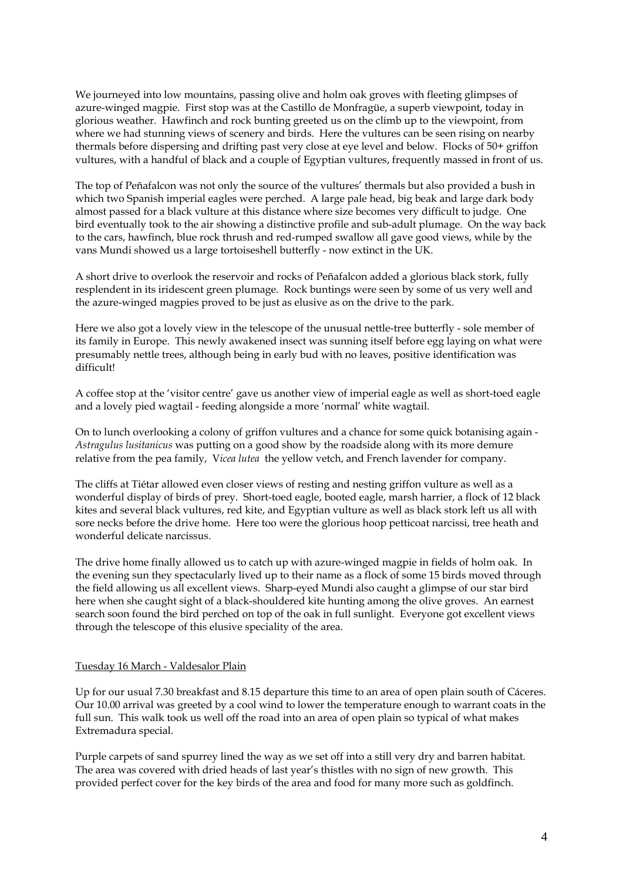We journeyed into low mountains, passing olive and holm oak groves with fleeting glimpses of azure-winged magpie. First stop was at the Castillo de Monfragüe, a superb viewpoint, today in glorious weather. Hawfinch and rock bunting greeted us on the climb up to the viewpoint, from where we had stunning views of scenery and birds. Here the vultures can be seen rising on nearby thermals before dispersing and drifting past very close at eye level and below. Flocks of 50+ griffon vultures, with a handful of black and a couple of Egyptian vultures, frequently massed in front of us.

The top of Peñafalcon was not only the source of the vultures' thermals but also provided a bush in which two Spanish imperial eagles were perched. A large pale head, big beak and large dark body almost passed for a black vulture at this distance where size becomes very difficult to judge. One bird eventually took to the air showing a distinctive profile and sub-adult plumage. On the way back to the cars, hawfinch, blue rock thrush and red-rumped swallow all gave good views, while by the vans Mundi showed us a large tortoiseshell butterfly - now extinct in the UK.

A short drive to overlook the reservoir and rocks of Peñafalcon added a glorious black stork, fully resplendent in its iridescent green plumage. Rock buntings were seen by some of us very well and the azure-winged magpies proved to be just as elusive as on the drive to the park.

Here we also got a lovely view in the telescope of the unusual nettle-tree butterfly - sole member of its family in Europe. This newly awakened insect was sunning itself before egg laying on what were presumably nettle trees, although being in early bud with no leaves, positive identification was difficult!

A coffee stop at the 'visitor centre' gave us another view of imperial eagle as well as short-toed eagle and a lovely pied wagtail - feeding alongside a more 'normal' white wagtail.

On to lunch overlooking a colony of griffon vultures and a chance for some quick botanising again - *Astragulus lusitanicus* was putting on a good show by the roadside along with its more demure relative from the pea family, V*icea lutea* the yellow vetch, and French lavender for company.

The cliffs at Tiétar allowed even closer views of resting and nesting griffon vulture as well as a wonderful display of birds of prey. Short-toed eagle, booted eagle, marsh harrier, a flock of 12 black kites and several black vultures, red kite, and Egyptian vulture as well as black stork left us all with sore necks before the drive home. Here too were the glorious hoop petticoat narcissi, tree heath and wonderful delicate narcissus.

The drive home finally allowed us to catch up with azure-winged magpie in fields of holm oak. In the evening sun they spectacularly lived up to their name as a flock of some 15 birds moved through the field allowing us all excellent views. Sharp-eyed Mundi also caught a glimpse of our star bird here when she caught sight of a black-shouldered kite hunting among the olive groves. An earnest search soon found the bird perched on top of the oak in full sunlight. Everyone got excellent views through the telescope of this elusive speciality of the area.

#### Tuesday 16 March - Valdesalor Plain

Up for our usual 7.30 breakfast and 8.15 departure this time to an area of open plain south of Cáceres. Our 10.00 arrival was greeted by a cool wind to lower the temperature enough to warrant coats in the full sun. This walk took us well off the road into an area of open plain so typical of what makes Extremadura special.

Purple carpets of sand spurrey lined the way as we set off into a still very dry and barren habitat. The area was covered with dried heads of last year's thistles with no sign of new growth. This provided perfect cover for the key birds of the area and food for many more such as goldfinch.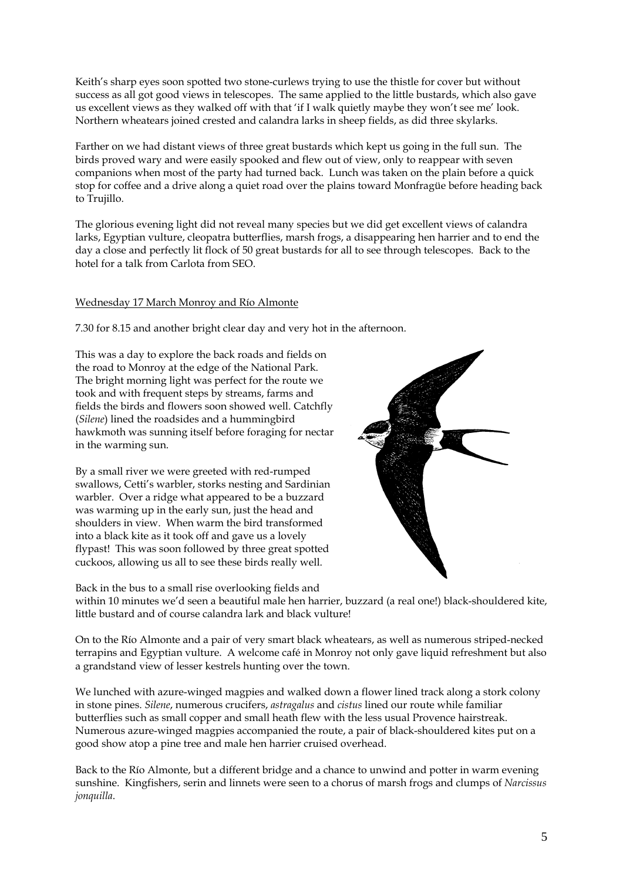Keith's sharp eyes soon spotted two stone-curlews trying to use the thistle for cover but without success as all got good views in telescopes. The same applied to the little bustards, which also gave us excellent views as they walked off with that 'if I walk quietly maybe they won't see me' look. Northern wheatears joined crested and calandra larks in sheep fields, as did three skylarks.

Farther on we had distant views of three great bustards which kept us going in the full sun. The birds proved wary and were easily spooked and flew out of view, only to reappear with seven companions when most of the party had turned back. Lunch was taken on the plain before a quick stop for coffee and a drive along a quiet road over the plains toward Monfragüe before heading back to Trujillo.

The glorious evening light did not reveal many species but we did get excellent views of calandra larks, Egyptian vulture, cleopatra butterflies, marsh frogs, a disappearing hen harrier and to end the day a close and perfectly lit flock of 50 great bustards for all to see through telescopes. Back to the hotel for a talk from Carlota from SEO.

# Wednesday 17 March Monroy and Río Almonte

7.30 for 8.15 and another bright clear day and very hot in the afternoon.

This was a day to explore the back roads and fields on the road to Monroy at the edge of the National Park. The bright morning light was perfect for the route we took and with frequent steps by streams, farms and fields the birds and flowers soon showed well. Catchfly (*Silene*) lined the roadsides and a hummingbird hawkmoth was sunning itself before foraging for nectar in the warming sun.

By a small river we were greeted with red-rumped swallows, Cetti's warbler, storks nesting and Sardinian warbler. Over a ridge what appeared to be a buzzard was warming up in the early sun, just the head and shoulders in view. When warm the bird transformed into a black kite as it took off and gave us a lovely flypast! This was soon followed by three great spotted cuckoos, allowing us all to see these birds really well.



Back in the bus to a small rise overlooking fields and within 10 minutes we'd seen a beautiful male hen harrier, buzzard (a real one!) black-shouldered kite, little bustard and of course calandra lark and black vulture!

On to the Río Almonte and a pair of very smart black wheatears, as well as numerous striped-necked terrapins and Egyptian vulture. A welcome café in Monroy not only gave liquid refreshment but also a grandstand view of lesser kestrels hunting over the town.

We lunched with azure-winged magpies and walked down a flower lined track along a stork colony in stone pines. *Silene*, numerous crucifers, *astragalus* and *cistus* lined our route while familiar butterflies such as small copper and small heath flew with the less usual Provence hairstreak. Numerous azure-winged magpies accompanied the route, a pair of black-shouldered kites put on a good show atop a pine tree and male hen harrier cruised overhead.

Back to the Río Almonte, but a different bridge and a chance to unwind and potter in warm evening sunshine. Kingfishers, serin and linnets were seen to a chorus of marsh frogs and clumps of *Narcissus jonquilla*.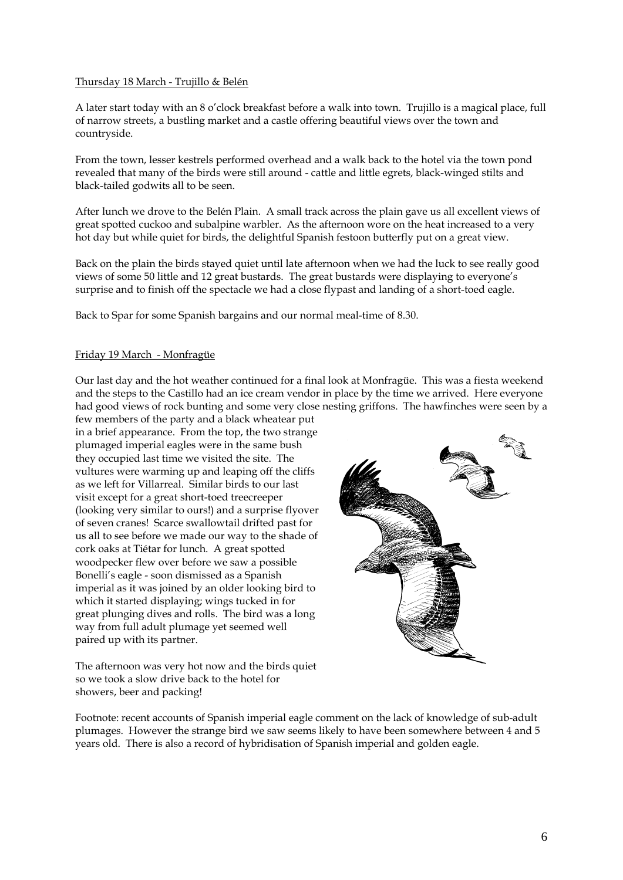#### Thursday 18 March - Trujillo & Belén

A later start today with an 8 o'clock breakfast before a walk into town. Trujillo is a magical place, full of narrow streets, a bustling market and a castle offering beautiful views over the town and countryside.

From the town, lesser kestrels performed overhead and a walk back to the hotel via the town pond revealed that many of the birds were still around - cattle and little egrets, black-winged stilts and black-tailed godwits all to be seen.

After lunch we drove to the Belén Plain. A small track across the plain gave us all excellent views of great spotted cuckoo and subalpine warbler. As the afternoon wore on the heat increased to a very hot day but while quiet for birds, the delightful Spanish festoon butterfly put on a great view.

Back on the plain the birds stayed quiet until late afternoon when we had the luck to see really good views of some 50 little and 12 great bustards. The great bustards were displaying to everyone's surprise and to finish off the spectacle we had a close flypast and landing of a short-toed eagle.

Back to Spar for some Spanish bargains and our normal meal-time of 8.30.

#### Friday 19 March - Monfragüe

Our last day and the hot weather continued for a final look at Monfragüe. This was a fiesta weekend and the steps to the Castillo had an ice cream vendor in place by the time we arrived. Here everyone had good views of rock bunting and some very close nesting griffons. The hawfinches were seen by a

few members of the party and a black wheatear put in a brief appearance. From the top, the two strange plumaged imperial eagles were in the same bush they occupied last time we visited the site. The vultures were warming up and leaping off the cliffs as we left for Villarreal. Similar birds to our last visit except for a great short-toed treecreeper (looking very similar to ours!) and a surprise flyover of seven cranes! Scarce swallowtail drifted past for us all to see before we made our way to the shade of cork oaks at Tiétar for lunch. A great spotted woodpecker flew over before we saw a possible Bonelli's eagle - soon dismissed as a Spanish imperial as it was joined by an older looking bird to which it started displaying; wings tucked in for great plunging dives and rolls. The bird was a long way from full adult plumage yet seemed well paired up with its partner.



The afternoon was very hot now and the birds quiet so we took a slow drive back to the hotel for showers, beer and packing!

Footnote: recent accounts of Spanish imperial eagle comment on the lack of knowledge of sub-adult plumages. However the strange bird we saw seems likely to have been somewhere between 4 and 5 years old. There is also a record of hybridisation of Spanish imperial and golden eagle.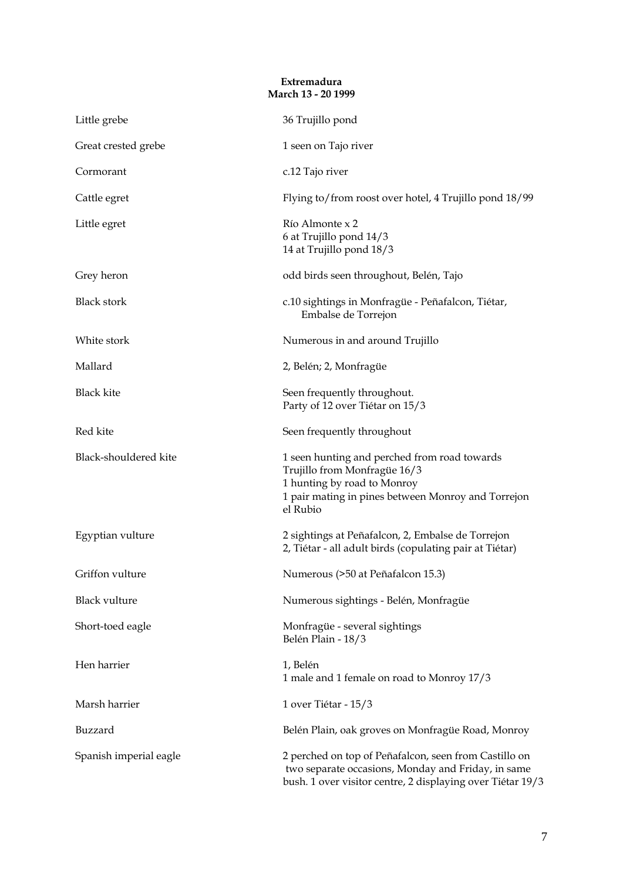# **Extremadura March 13 - 20 1999**

| Little grebe           | 36 Trujillo pond                                                                                                                                                              |  |  |
|------------------------|-------------------------------------------------------------------------------------------------------------------------------------------------------------------------------|--|--|
| Great crested grebe    | 1 seen on Tajo river                                                                                                                                                          |  |  |
| Cormorant              | c.12 Tajo river                                                                                                                                                               |  |  |
| Cattle egret           | Flying to/from roost over hotel, 4 Trujillo pond 18/99                                                                                                                        |  |  |
| Little egret           | Río Almonte x 2<br>6 at Trujillo pond 14/3<br>14 at Trujillo pond 18/3                                                                                                        |  |  |
| Grey heron             | odd birds seen throughout, Belén, Tajo                                                                                                                                        |  |  |
| <b>Black stork</b>     | c.10 sightings in Monfragüe - Peñafalcon, Tiétar,<br>Embalse de Torrejon                                                                                                      |  |  |
| White stork            | Numerous in and around Trujillo                                                                                                                                               |  |  |
| Mallard                | 2, Belén; 2, Monfragüe                                                                                                                                                        |  |  |
| <b>Black kite</b>      | Seen frequently throughout.<br>Party of 12 over Tiétar on 15/3                                                                                                                |  |  |
| Red kite               | Seen frequently throughout                                                                                                                                                    |  |  |
| Black-shouldered kite  | 1 seen hunting and perched from road towards<br>Trujillo from Monfragüe 16/3<br>1 hunting by road to Monroy<br>1 pair mating in pines between Monroy and Torrejon<br>el Rubio |  |  |
| Egyptian vulture       | 2 sightings at Peñafalcon, 2, Embalse de Torrejon<br>2, Tiétar - all adult birds (copulating pair at Tiétar)                                                                  |  |  |
| Griffon vulture        | Numerous (>50 at Peñafalcon 15.3)                                                                                                                                             |  |  |
| <b>Black vulture</b>   | Numerous sightings - Belén, Monfragüe                                                                                                                                         |  |  |
| Short-toed eagle       | Monfragüe - several sightings<br>Belén Plain - 18/3                                                                                                                           |  |  |
| Hen harrier            | 1, Belén<br>1 male and 1 female on road to Monroy 17/3                                                                                                                        |  |  |
| Marsh harrier          | 1 over Tiétar - 15/3                                                                                                                                                          |  |  |
| Buzzard                | Belén Plain, oak groves on Monfragüe Road, Monroy                                                                                                                             |  |  |
| Spanish imperial eagle | 2 perched on top of Peñafalcon, seen from Castillo on<br>two separate occasions, Monday and Friday, in same<br>bush. 1 over visitor centre, 2 displaying over Tiétar 19/3     |  |  |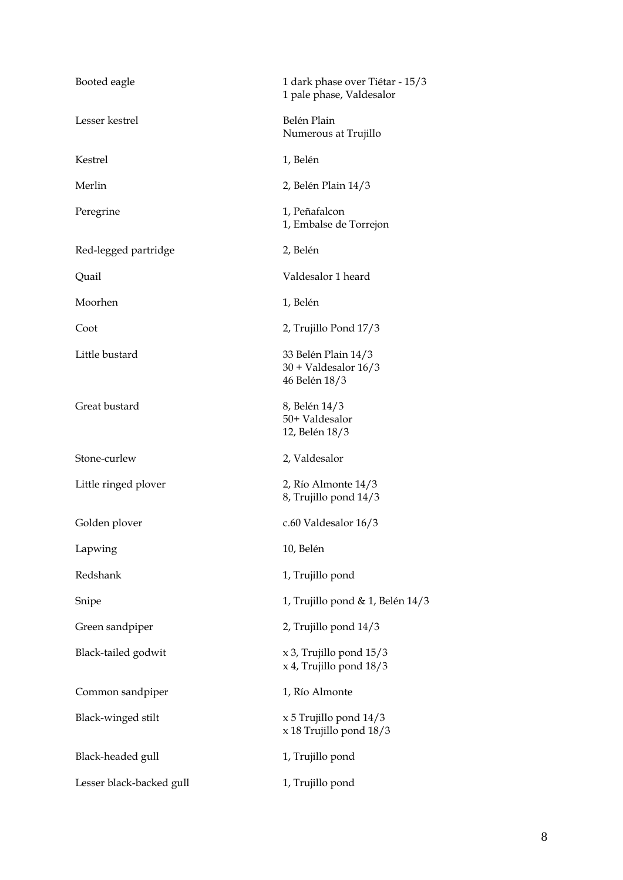| Booted eagle             | 1 dark phase over Tiétar - 15/3<br>1 pale phase, Valdesalor    |  |
|--------------------------|----------------------------------------------------------------|--|
| Lesser kestrel           | Belén Plain<br>Numerous at Trujillo                            |  |
| Kestrel                  | 1, Belén                                                       |  |
| Merlin                   | 2, Belén Plain 14/3                                            |  |
| Peregrine                | 1, Peñafalcon<br>1, Embalse de Torrejon                        |  |
| Red-legged partridge     | 2, Belén                                                       |  |
| Quail                    | Valdesalor 1 heard                                             |  |
| Moorhen                  | 1, Belén                                                       |  |
| Coot                     | 2, Trujillo Pond 17/3                                          |  |
| Little bustard           | 33 Belén Plain 14/3<br>$30 + Valdesalor 16/3$<br>46 Belén 18/3 |  |
| Great bustard            | 8, Belén 14/3<br>50+ Valdesalor<br>12, Belén 18/3              |  |
| Stone-curlew             | 2, Valdesalor                                                  |  |
| Little ringed plover     | 2, Río Almonte 14/3<br>8, Trujillo pond 14/3                   |  |
| Golden plover            | c.60 Valdesalor 16/3                                           |  |
| Lapwing                  | 10, Belén                                                      |  |
| Redshank                 | 1, Trujillo pond                                               |  |
| Snipe                    | 1, Trujillo pond & 1, Belén 14/3                               |  |
| Green sandpiper          | 2, Trujillo pond 14/3                                          |  |
| Black-tailed godwit      | $x$ 3, Trujillo pond $15/3$<br>$x$ 4, Trujillo pond $18/3$     |  |
| Common sandpiper         | 1, Río Almonte                                                 |  |
| Black-winged stilt       | $x 5$ Trujillo pond $14/3$<br>x 18 Trujillo pond 18/3          |  |
| Black-headed gull        | 1, Trujillo pond                                               |  |
| Lesser black-backed gull | 1, Trujillo pond                                               |  |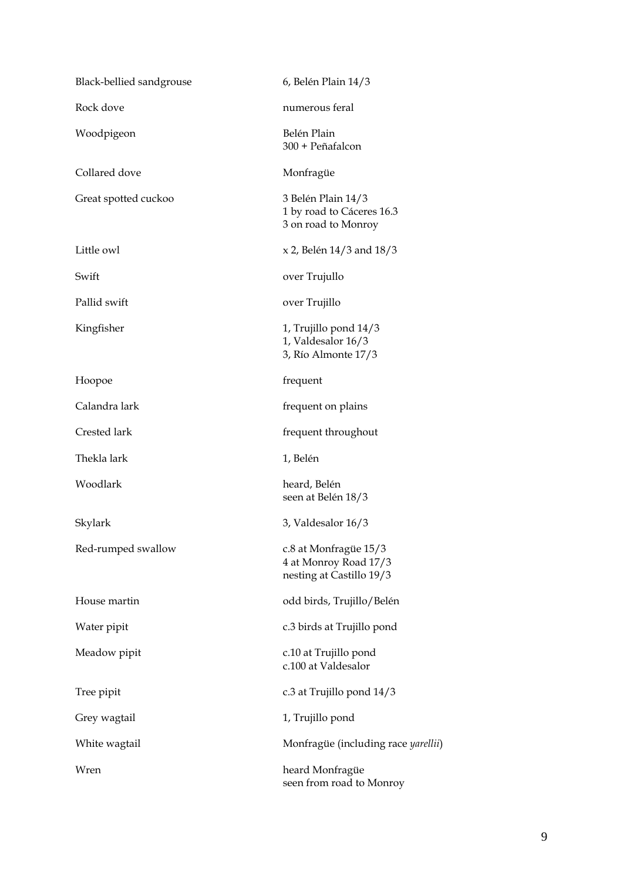| Black-bellied sandgrouse | 6, Belén Plain 14/3                                                        |  |
|--------------------------|----------------------------------------------------------------------------|--|
| Rock dove                | numerous feral                                                             |  |
| Woodpigeon               | Belén Plain<br>300 + Peñafalcon                                            |  |
| Collared dove            | Monfragüe                                                                  |  |
| Great spotted cuckoo     | 3 Belén Plain 14/3<br>1 by road to Cáceres 16.3<br>3 on road to Monroy     |  |
| Little owl               | $x 2$ , Belén 14/3 and 18/3                                                |  |
| Swift                    | over Trujullo                                                              |  |
| Pallid swift             | over Trujillo                                                              |  |
| Kingfisher               | 1, Trujillo pond 14/3<br>1, Valdesalor 16/3<br>3, Río Almonte 17/3         |  |
| Hoopoe                   | frequent                                                                   |  |
| Calandra lark            | frequent on plains                                                         |  |
| Crested lark             | frequent throughout                                                        |  |
| Thekla lark              | 1, Belén                                                                   |  |
| Woodlark                 | heard, Belén<br>seen at Belén 18/3                                         |  |
| Skylark                  | 3, Valdesalor 16/3                                                         |  |
| Red-rumped swallow       | c.8 at Monfragüe 15/3<br>4 at Monroy Road 17/3<br>nesting at Castillo 19/3 |  |
| House martin             | odd birds, Trujillo/Belén                                                  |  |
| Water pipit              | c.3 birds at Trujillo pond                                                 |  |
| Meadow pipit             | c.10 at Trujillo pond<br>c.100 at Valdesalor                               |  |
| Tree pipit               | c.3 at Trujillo pond 14/3                                                  |  |
| Grey wagtail             | 1, Trujillo pond                                                           |  |
| White wagtail            | Monfragüe (including race yarellii)                                        |  |
| Wren                     | heard Monfragüe<br>seen from road to Monroy                                |  |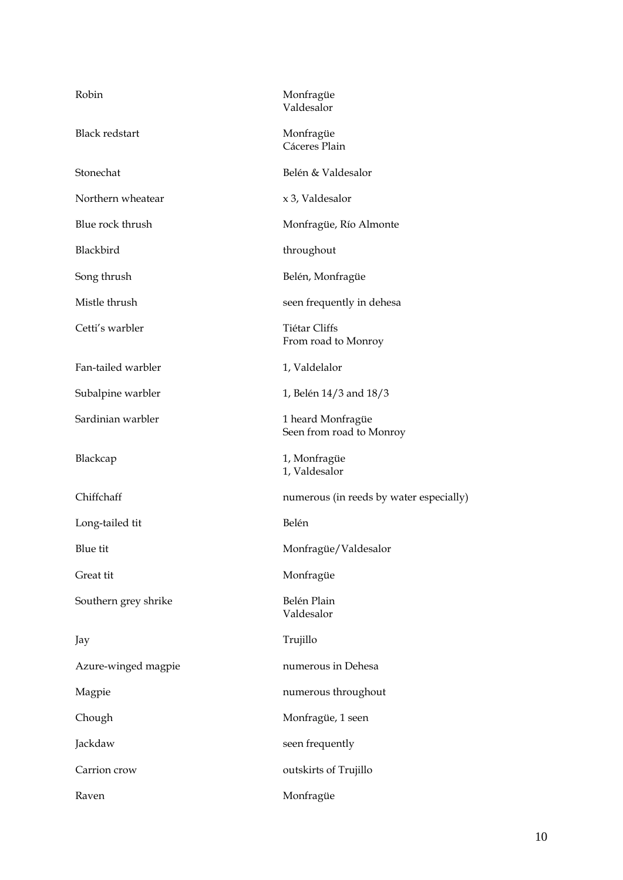| Robin                 | Monfragüe<br>Valdesalor                       |  |
|-----------------------|-----------------------------------------------|--|
| <b>Black redstart</b> | Monfragüe<br>Cáceres Plain                    |  |
| Stonechat             | Belén & Valdesalor                            |  |
| Northern wheatear     | x 3, Valdesalor                               |  |
| Blue rock thrush      | Monfragüe, Río Almonte                        |  |
| Blackbird             | throughout                                    |  |
| Song thrush           | Belén, Monfragüe                              |  |
| Mistle thrush         | seen frequently in dehesa                     |  |
| Cetti's warbler       | Tiétar Cliffs<br>From road to Monroy          |  |
| Fan-tailed warbler    | 1, Valdelalor                                 |  |
| Subalpine warbler     | 1, Belén 14/3 and 18/3                        |  |
| Sardinian warbler     | 1 heard Monfragüe<br>Seen from road to Monroy |  |
| Blackcap              | 1, Monfragüe<br>1, Valdesalor                 |  |
| Chiffchaff            | numerous (in reeds by water especially)       |  |
| Long-tailed tit       | Belén                                         |  |
|                       |                                               |  |
| Blue tit              | Monfragüe/Valdesalor                          |  |
| Great tit             | Monfragüe                                     |  |
| Southern grey shrike  | Belén Plain<br>Valdesalor                     |  |
| Jay                   | Trujillo                                      |  |
| Azure-winged magpie   | numerous in Dehesa                            |  |
| Magpie                | numerous throughout                           |  |
| Chough                | Monfragüe, 1 seen                             |  |
| Jackdaw               | seen frequently                               |  |
| Carrion crow          | outskirts of Trujillo                         |  |